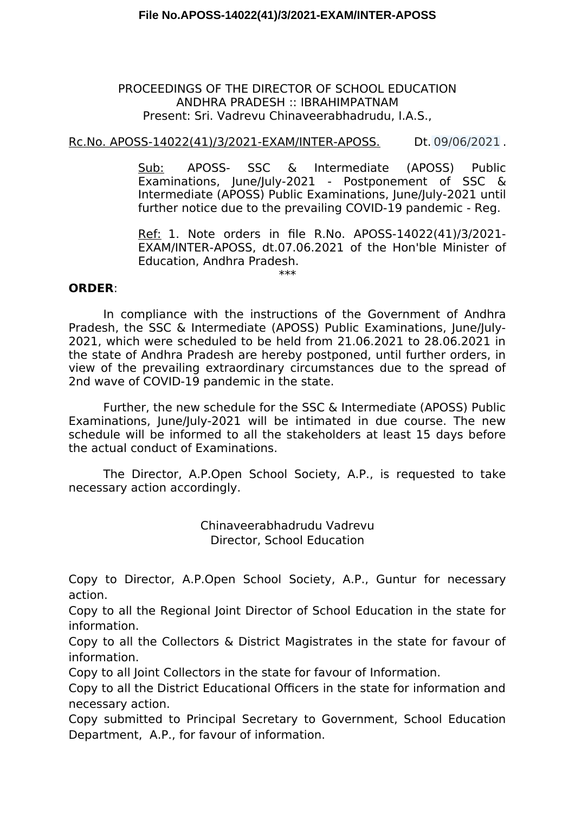## PROCEEDINGS OF THE DIRECTOR OF SCHOOL EDUCATION ANDHRA PRADESH :: IBRAHIMPATNAM Present: Sri. Vadrevu Chinaveerabhadrudu, I.A.S.,

Rc.No. APOSS-14022(41)/3/2021-EXAM/INTER-APOSS. Dt. 09/06/2021 .

Sub: APOSS- SSC & Intermediate (APOSS) Public Examinations, June/July-2021 - Postponement of SSC & Intermediate (APOSS) Public Examinations, June/July-2021 until further notice due to the prevailing COVID-19 pandemic - Reg.

Ref: 1. Note orders in fle R.No. APOSS-14022(41)/3/2021- EXAM/INTER-APOSS, dt.07.06.2021 of the Hon'ble Minister of Education, Andhra Pradesh.

\*\*\*

## **ORDER**:

In compliance with the instructions of the Government of Andhra Pradesh, the SSC & Intermediate (APOSS) Public Examinations, June/July-2021, which were scheduled to be held from 21.06.2021 to 28.06.2021 in the state of Andhra Pradesh are hereby postponed, until further orders, in view of the prevailing extraordinary circumstances due to the spread of 2nd wave of COVID-19 pandemic in the state.

Further, the new schedule for the SSC & Intermediate (APOSS) Public Examinations, June/July-2021 will be intimated in due course. The new schedule will be informed to all the stakeholders at least 15 days before the actual conduct of Examinations.

The Director, A.P.Open School Society, A.P., is requested to take necessary action accordingly.

> Chinaveerabhadrudu Vadrevu Director, School Education

Copy to Director, A.P.Open School Society, A.P., Guntur for necessary action.

Copy to all the Regional Joint Director of School Education in the state for information.

Copy to all the Collectors & District Magistrates in the state for favour of information.

Copy to all Joint Collectors in the state for favour of Information.

Copy to all the District Educational Officers in the state for information and necessary action.

Copy submitted to Principal Secretary to Government, School Education Department, A.P., for favour of information.